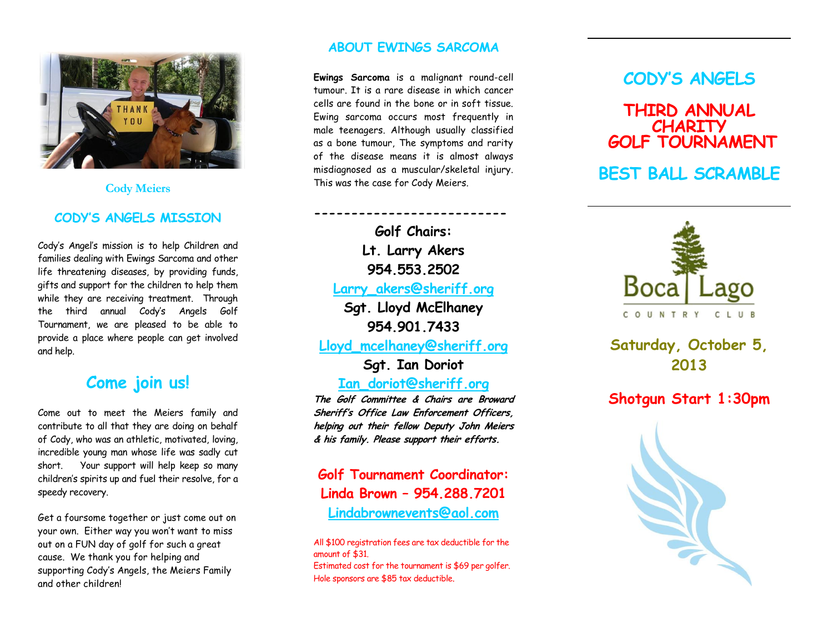

#### **Cody Meiers**

## **CODY'S ANGELS MISSION**

Cody's Angel's mission is to help Children and families dealing with Ewings Sarcoma and other life threatening diseases, by providing funds, gifts and support for the children to help them while they are receiving treatment. Through the third annual Cody's Angels Golf Tournament, we are pleased to be able to provide a place where people can get involved and help.

# **Come join us!**

Come out to meet the Meiers family and contribute to all that they are doing on behalf of Cody, who was a n athletic, motivated, loving, incredible young man whose life was sadly cut short. Your support will help keep so many children's spirits up and fuel their resolve, for a speedy recovery.

Get a foursome together or just come out on your own. Either way you won't want to miss out on a FUN day of golf for such a great cause. We thank you for helping and supporting Cody's Angels, the Meiers Family and other children !

## **ABOUT EWING S SARCOMA**

**Ewings Sarcoma** is a malignant round -cell tumour. It is a rare disease in which cancer cells are found in the bone or in soft tissue. Ewing sarcoma occurs most frequently in male teenagers. Although usually classified as a bone tumour, The symptoms and rarity of the disease means it is almost always misdiagnosed as a muscular/skeletal injury. This was the case for Cody Meiers .

**-------------------------- Golf Chairs: Lt. Larry Akers 954.553.2502 [Larry\\_akers@sheriff.org](mailto:Larry_akers@sheriff.org)**

**Sgt. Lloyd McElhaney 954.901.7433**

**Lloyd\_mcelhaney@sheriff.org**

**Sgt. Ian Doriot**

**[Ian\\_doriot@sheriff.org](mailto:Ian_doriot@sheriff.org)**

**The Golf Committee & Chairs are Broward Sheriff's Office Law Enforcement Officers, helping out their fellow Deputy John Meiers & his family. Please support their efforts.**

**Golf Tournament Coordinator: Linda Brown – 954.288.7201 [Lindabrownevents@aol.com](mailto:Lindabrownevents@aol.com)**

All \$100 registration fees are tax deductible for the amount of \$3 1 . Estimated cost for the tournament is \$69 per golfer.

Hole sponsors are \$85 tax deductible .

# **CODY'S ANGELS**

# **THIRD ANNUAL CHARITY GOLF TOURNAMENT**

# **BEST BALL SCRAMBLE**



**Saturday, October 5 , 2013**

# **Shotgun Start 1:30 p m**